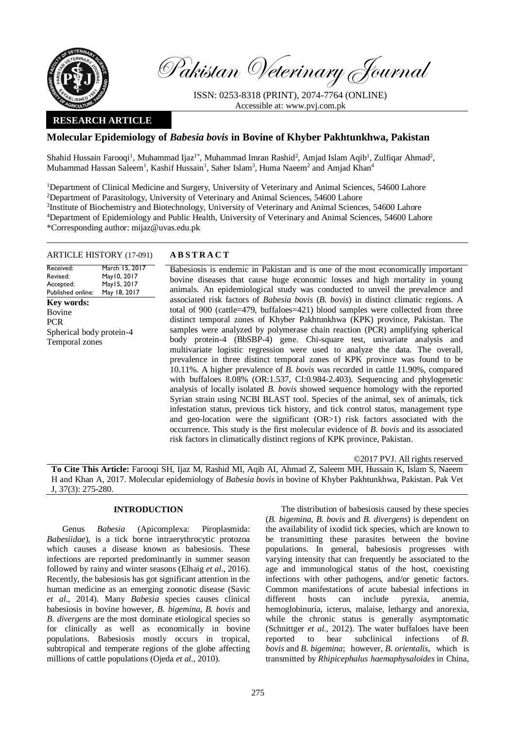

Pakistan Veterinary Journal

ISSN: 0253-8318 (PRINT), 2074-7764 (ONLINE) Accessible at: [www.pvj.com.pk](http://www.pvj.com.pk/)

# **RESEARCH ARTICLE**

# **Molecular Epidemiology of** *Babesia bovis* **in Bovine of Khyber Pakhtunkhwa, Pakistan**

Shahid Hussain Farooqi<sup>1</sup>, Muhammad Ijaz<sup>1\*</sup>, Muhammad Imran Rashid<sup>2</sup>, Amjad Islam Aqib<sup>1</sup>, Zulfiqar Ahmad<sup>2</sup>, Muhammad Hassan Saleem<sup>1</sup>, Kashif Hussain<sup>1</sup>, Saher Islam<sup>3</sup>, Huma Naeem<sup>2</sup> and Amjad Khan<sup>4</sup>

<sup>1</sup>Department of Clinical Medicine and Surgery, University of Veterinary and Animal Sciences, 54600 Lahore <sup>2</sup>Department of Parasitology, University of Veterinary and Animal Sciences, 54600 Lahore <sup>3</sup>Institute of Biochemistry and Biotechnology, University of Veterinary and Animal Sciences, 54600 Lahore <sup>4</sup>Department of Epidemiology and Public Health, University of Veterinary and Animal Sciences, 54600 Lahore \*Corresponding author: mijaz@uvas.edu.pk

#### ARTICLE HISTORY (17-091) **A B S T R A C T**

Received: Revised: Accepted: Published online: March 15, 2017 May10, 2017 May15, 2017 May 18, 2017 **Key words:**  Bovine PCR Spherical body protein-4 Temporal zones

Babesiosis is endemic in Pakistan and is one of the most economically important bovine diseases that cause huge economic losses and high mortality in young animals. An epidemiological study was conducted to unveil the prevalence and associated risk factors of *Babesia bovis* (*B. bovis*) in distinct climatic regions. A total of 900 (cattle=479, buffaloes=421) blood samples were collected from three distinct temporal zones of Khyber Pakhtunkhwa (KPK) province, Pakistan. The samples were analyzed by polymerase chain reaction (PCR) amplifying spherical body protein-4 (BbSBP-4) gene. Chi-square test, univariate analysis and multivariate logistic regression were used to analyze the data. The overall, prevalence in three distinct temporal zones of KPK province was found to be 10.11%. A higher prevalence of *B. bovis* was recorded in cattle 11.90%, compared with buffaloes 8.08% (OR:1.537, CI:0.984-2.403). Sequencing and phylogenetic analysis of locally isolated *B. bovis* showed sequence homology with the reported Syrian strain using NCBI BLAST tool. Species of the animal, sex of animals, tick infestation status, previous tick history, and tick control status, management type and geo-location were the significant (OR>1) risk factors associated with the occurrence. This study is the first molecular evidence of *B. bovis* and its associated risk factors in climatically distinct regions of KPK province, Pakistan.

©2017 PVJ. All rights reserved

**To Cite This Article:** Farooqi SH, Ijaz M, Rashid MI, Aqib AI, Ahmad Z, Saleem MH, Hussain K, Islam S, Naeem H and Khan A, 2017. Molecular epidemiology of *Babesia bovis* in bovine of Khyber Pakhtunkhwa, Pakistan. Pak Vet J, 37(3): 275-280.

## **INTRODUCTION**

Genus *Babesia* (Apicomplexa: Piroplasmida: *Babesiidae*), is a tick borne intraerythrocytic protozoa which causes a disease known as babesiosis. These infections are reported predominantly in summer season followed by rainy and winter seasons (Elhaig *et al*., 2016). Recently, the babesiosis has got significant attention in the human medicine as an emerging zoonotic disease (Savic *et al*., 2014). Many *Babesia* species causes clinical babesiosis in bovine however, *B. bigemina, B. bovis* and *B. divergens* are the most dominate etiological species so for clinically as well as economically in bovine populations. Babesiosis mostly occurs in tropical, subtropical and temperate regions of the globe affecting millions of cattle populations (Ojeda *et al.,* 2010).

The distribution of babesiosis caused by these species (*B. bigemina, B. bovis* and *B. divergens*) is dependent on the availability of ixodid tick species, which are known to be transmitting these parasites between the bovine populations. In general, babesiosis progresses with varying intensity that can frequently be associated to the age and immunological status of the host, coexisting infections with other pathogens, and/or genetic factors. Common manifestations of acute babesial infections in different hosts can include pyrexia, anemia, hemoglobinuria, icterus, malaise, lethargy and anorexia, while the chronic status is generally asymptomatic (Schnittger *et al.,* 2012). The water buffaloes have been reported to bear subclinical infections of *B. bovis* and *B*. *bigemina*; however, *B*. *orientalis*, which is transmitted by *Rhipicephalus haemaphysaloides* in China,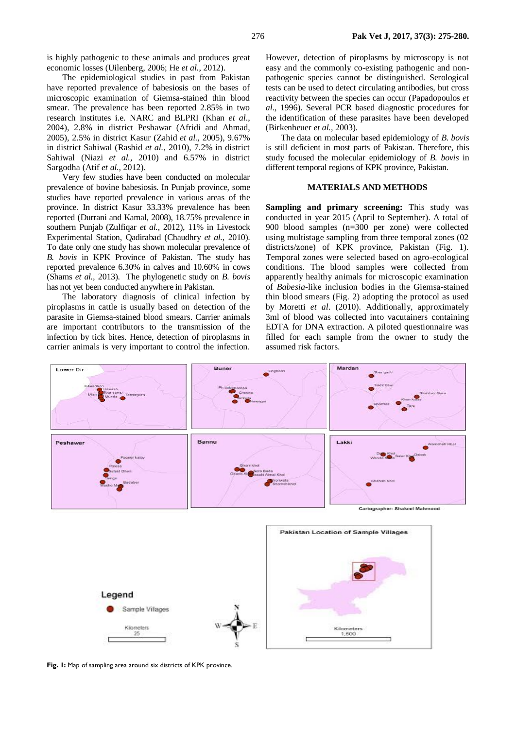is highly pathogenic to these animals and produces great economic losses (Uilenberg, 2006; He *et al.*, 2012).

The epidemiological studies in past from Pakistan have reported prevalence of babesiosis on the bases of microscopic examination of Giemsa-stained thin blood smear. The prevalence has been reported 2.85% in two research institutes i.e. NARC and BLPRI (Khan *et al*., 2004), 2.8% in district Peshawar (Afridi and Ahmad, 2005), 2.5% in district Kasur (Zahid *et al.,* 2005), 9.67% in district Sahiwal (Rashid *et al.,* 2010), 7.2% in district Sahiwal (Niazi *et al.,* 2010) and 6.57% in district Sargodha (Atif *et al.,* 2012).

Very few studies have been conducted on molecular prevalence of bovine babesiosis. In Punjab province, some studies have reported prevalence in various areas of the province. In district Kasur 33.33% prevalence has been reported (Durrani and Kamal, 2008), 18.75% prevalence in southern Punjab (Zulfiqar *et al.,* 2012), 11% in Livestock Experimental Station, Qadirabad (Chaudhry *et al.,* 2010). To date only one study has shown molecular prevalence of *B. bovis* in KPK Province of Pakistan. The study has reported prevalence 6.30% in calves and 10.60% in cows (Shams *et al.,* 2013). The phylogenetic study on *B. bovis* has not yet been conducted anywhere in Pakistan.

The laboratory diagnosis of clinical infection by piroplasms in cattle is usually based on detection of the parasite in Giemsa-stained blood smears. Carrier animals are important contributors to the transmission of the infection by tick bites. Hence, detection of piroplasms in carrier animals is very important to control the infection.

However, detection of piroplasms by microscopy is not easy and the commonly co-existing pathogenic and nonpathogenic species cannot be distinguished. Serological tests can be used to detect circulating antibodies, but cross reactivity between the species can occur (Papadopoulos *et al*., 1996). Several PCR based diagnostic procedures for the identification of these parasites have been developed (Birkenheuer *et al.,* 2003).

The data on molecular based epidemiology of *B. bovis* is still deficient in most parts of Pakistan. Therefore, this study focused the molecular epidemiology of *B. bovis* in different temporal regions of KPK province, Pakistan.

#### **MATERIALS AND METHODS**

**Sampling and primary screening:** This study was conducted in year 2015 (April to September). A total of 900 blood samples (n=300 per zone) were collected using multistage sampling from three temporal zones (02 districts/zone) of KPK province, Pakistan (Fig. 1). Temporal zones were selected based on agro-ecological conditions. The blood samples were collected from apparently healthy animals for microscopic examination of *Babesia-*like inclusion bodies in the Giemsa-stained thin blood smears (Fig. 2) adopting the protocol as used by Moretti *et al*. (2010). Additionally, approximately 3ml of blood was collected into vacutainers containing EDTA for DNA extraction. A piloted questionnaire was filled for each sample from the owner to study the assumed risk factors.



**Fig. 1:** Map of sampling area around six districts of KPK province.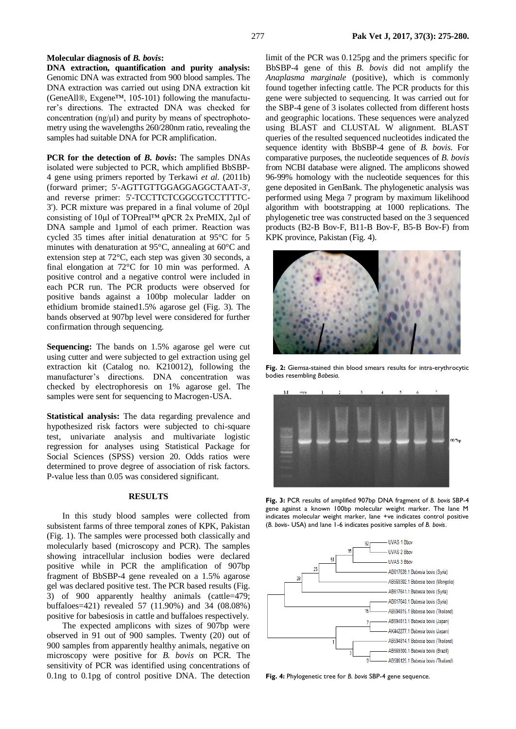### **Molecular diagnosis of** *B. bovis***:**

**DNA extraction, quantification and purity analysis:** Genomic DNA was extracted from 900 blood samples. The DNA extraction was carried out using DNA extraction kit (GeneAll®, Exgene™, 105-101) following the manufacturer's directions. The extracted DNA was checked for concentration (ng/μl) and purity by means of spectrophotometry using the wavelengths 260/280nm ratio, revealing the samples had suitable DNA for PCR amplification.

**PCR for the detection of** *B. bovis***:** The samples DNAs isolated were subjected to PCR, which amplified BbSBP-4 gene using primers reported by Terkawi *et al.* (2011b) (forward primer; 5'-AGTTGTTGGAGGAGGCTAAT-3', and reverse primer: 5'-TCCTTCTCGGCGTCCTTTTC-3'). PCR mixture was prepared in a final volume of 20µl consisting of 10µl of TOPreal™ qPCR 2x PreMIX, 2µl of DNA sample and 1µmol of each primer. Reaction was cycled 35 times after initial denaturation at 95°C for 5 minutes with denaturation at 95°C, annealing at 60°C and extension step at 72°C, each step was given 30 seconds, a final elongation at 72°C for 10 min was performed. A positive control and a negative control were included in each PCR run. The PCR products were observed for positive bands against a 100bp molecular ladder on ethidium bromide stained1.5% agarose gel (Fig. 3). The bands observed at 907bp level were considered for further confirmation through sequencing.

**Sequencing:** The bands on 1.5% agarose gel were cut using cutter and were subjected to gel extraction using gel extraction kit (Catalog no. K210012), following the manufacturer's directions. DNA concentration was checked by electrophoresis on 1% agarose gel. The samples were sent for sequencing to Macrogen-USA.

**Statistical analysis:** The data regarding prevalence and hypothesized risk factors were subjected to chi-square test, univariate analysis and multivariate logistic regression for analyses using Statistical Package for Social Sciences (SPSS) version 20. Odds ratios were determined to prove degree of association of risk factors. P-value less than 0.05 was considered significant.

#### **RESULTS**

In this study blood samples were collected from subsistent farms of three temporal zones of KPK, Pakistan (Fig. 1). The samples were processed both classically and molecularly based (microscopy and PCR). The samples showing intracellular inclusion bodies were declared positive while in PCR the amplification of 907bp fragment of BbSBP-4 gene revealed on a 1.5% agarose gel was declared positive test. The PCR based results (Fig. 3) of 900 apparently healthy animals (cattle=479; buffaloes=421) revealed 57 (11.90%) and 34 (08.08%) positive for babesiosis in cattle and buffaloes respectively.

The expected amplicons with sizes of 907bp were observed in 91 out of 900 samples. Twenty (20) out of 900 samples from apparently healthy animals, negative on microscopy were positive for *B. bovis* on PCR*.* The sensitivity of PCR was identified using concentrations of 0.1ng to 0.1pg of control positive DNA. The detection

limit of the PCR was 0.125pg and the primers specific for BbSBP-4 gene of this *B. bovis* did not amplify the *Anaplasma marginale* (positive), which is commonly found together infecting cattle. The PCR products for this gene were subjected to sequencing. It was carried out for the SBP-4 gene of 3 isolates collected from different hosts and geographic locations. These sequences were analyzed using BLAST and CLUSTAL W alignment. BLAST queries of the resulted sequenced nucleotides indicated the sequence identity with BbSBP-4 gene of *B. bovis*. For comparative purposes, the nucleotide sequences of *B. bovis*  from NCBI database were aligned. The amplicons showed 96-99% homology with the nucleotide sequences for this gene deposited in GenBank. The phylogenetic analysis was performed using Mega 7 program by maximum likelihood algorithm with bootstrapping at 1000 replications. The phylogenetic tree was constructed based on the 3 sequenced products (B2-B Bov-F, B11-B Bov-F, B5-B Bov-F) from KPK province, Pakistan (Fig. 4).



**Fig. 2:** Giemsa-stained thin blood smears results for intra-erythrocytic bodies resembling *Babesia*.



**Fig. 3:** PCR results of amplified 907bp DNA fragment of *B. bovis* SBP-4 gene against a known 100bp molecular weight marker. The lane M indicates molecular weight marker, lane +ve indicates control positive (*B. bovis*- USA) and lane 1-6 indicates positive samples of *B. bovis*.



**Fig. 4:** Phylogenetic tree for *B. bovis* SBP-4 gene sequence.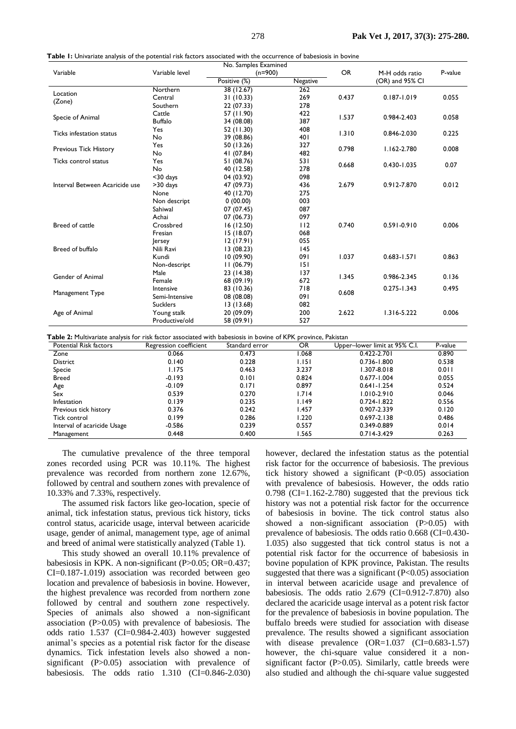|                                                        | No. Samples Examined |              |          |           |                 |         |
|--------------------------------------------------------|----------------------|--------------|----------|-----------|-----------------|---------|
| Variable                                               | Variable level       | $(n=900)$    |          | <b>OR</b> | M-H odds ratio  | P-value |
|                                                        |                      | Positive (%) | Negative |           | (OR) and 95% CI |         |
| Location<br>(Zone)                                     | Northern             | 38 (12.67)   | 262      |           |                 |         |
|                                                        | Central              | 31 (10.33)   | 269      | 0.437     | $0.187 - 1.019$ | 0.055   |
|                                                        | Southern             | 22 (07.33)   | 278      |           |                 |         |
| Specie of Animal                                       | Cattle               | 57 (11.90)   | 422      | 1.537     | 0.984-2.403     | 0.058   |
|                                                        | <b>Buffalo</b>       | 34 (08.08)   | 387      |           |                 |         |
| Ticks infestation status                               | <b>Yes</b>           | 52 (11.30)   | 408      | 1.310     | 0.846-2.030     | 0.225   |
|                                                        | No                   | 39 (08.86)   | 40 I     |           |                 |         |
| <b>Previous Tick History</b>                           | <b>Yes</b>           | 50 (13.26)   | 327      | 0.798     | $1.162 - 2.780$ | 0.008   |
|                                                        | No                   | 41 (07.84)   | 482      |           |                 |         |
| Ticks control status<br>Interval Between Acaricide use | Yes                  | 51 (08.76)   | 53 I     | 0.668     | $0.430 - 1.035$ | 0.07    |
|                                                        | No                   | 40 (12.58)   | 278      |           |                 |         |
|                                                        | $30$ days            | 04 (03.92)   | 098      |           |                 |         |
|                                                        | $>30$ days           | 47 (09.73)   | 436      | 2.679     | 0.912-7.870     | 0.012   |
|                                                        | None                 | 40 (12.70)   | 275      |           |                 |         |
|                                                        | Non descript         | 0(00.00)     | 003      |           |                 |         |
|                                                        | Sahiwal              | 07 (07.45)   | 087      |           |                 |         |
|                                                        | Achai                | 07 (06.73)   | 097      |           |                 |         |
| Breed of cattle                                        | Crossbred            | 16 (12.50)   | 112      | 0.740     | $0.591 - 0.910$ | 0.006   |
|                                                        | Fresian              | 15 (18.07)   | 068      |           |                 |         |
|                                                        | lersey               | 12(17.91)    | 055      |           |                 |         |
| Breed of buffalo                                       | Nili Ravi            | 13(08.23)    | 145      |           |                 |         |
|                                                        | Kundi                | 10(09.90)    | 091      | 1.037     | $0.683 - 1.571$ | 0.863   |
|                                                        | Non-descript         | 11(06.79)    | 151      |           |                 |         |
| Gender of Animal                                       | Male                 | 23 (14.38)   | 137      | 1.345     | 0.986-2.345     | 0.136   |
|                                                        | Female               | 68 (09.19)   | 672      |           |                 |         |
| Management Type                                        | Intensive            | 83 (10.36)   | 718      | 0.608     | $0.275 - 1.343$ | 0.495   |
|                                                        | Semi-Intensive       | 08 (08.08)   | 091      |           |                 |         |
|                                                        | <b>Sucklers</b>      | 13(13.68)    | 082      |           |                 |         |
| Age of Animal                                          | Young stalk          | 20 (09.09)   | 200      | 2.622     | $1.316 - 5.222$ | 0.006   |
|                                                        | Productive/old       | 58 (09.91)   | 527      |           |                 |         |

**Table 1:** Univariate analysis of the potential risk factors associated with the occurrence of babesiosis in bovine

**Table 2:** Multivariate analysis for risk factor associated with babesiosis in bovine of KPK province, Pakistan

| Potential Risk factors      | Regression coefficient | Standard error | <b>OR</b> | Upper-lower limit at 95% C.I. | P-value |
|-----------------------------|------------------------|----------------|-----------|-------------------------------|---------|
| Zone                        | 0.066                  | 0.473          | .068      | $0.422 - 2.701$               | 0.890   |
| <b>District</b>             | 0.140                  | 0.228          | I. I 5 I  | 0.736-1.800                   | 0.538   |
| Specie                      | 1.175                  | 0.463          | 3.237     | 1.307-8.018                   | 0.011   |
| <b>Breed</b>                | $-0.193$               | 0.101          | 0.824     | $0.677 - 1.004$               | 0.055   |
| Age                         | $-0.109$               | 0.171          | 0.897     | $0.641 - 1.254$               | 0.524   |
| Sex                         | 0.539                  | 0.270          | 1.714     | $1.010 - 2.910$               | 0.046   |
| Infestation                 | 0.139                  | 0.235          | 1.149     | $0.724 - 1.822$               | 0.556   |
| Previous tick history       | 0.376                  | 0.242          | .457      | 0.907-2.339                   | 0.120   |
| Tick control                | 0.199                  | 0.286          | 1.220     | $0.697 - 2.138$               | 0.486   |
| Interval of acaricide Usage | $-0.586$               | 0.239          | 0.557     | 0.349-0.889                   | 0.014   |
| Management                  | 0.448                  | 0.400          | .565      | $0.714 - 3.429$               | 0.263   |

The cumulative prevalence of the three temporal zones recorded using PCR was 10.11%. The highest prevalence was recorded from northern zone 12.67%, followed by central and southern zones with prevalence of 10.33% and 7.33%, respectively.

The assumed risk factors like geo-location, specie of animal, tick infestation status, previous tick history, ticks control status, acaricide usage, interval between acaricide usage, gender of animal, management type, age of animal and breed of animal were statistically analyzed (Table 1).

This study showed an overall 10.11% prevalence of babesiosis in KPK. A non-significant (P>0.05; OR=0.437; CI=0.187-1.019) association was recorded between geo location and prevalence of babesiosis in bovine. However, the highest prevalence was recorded from northern zone followed by central and southern zone respectively. Species of animals also showed a non-significant association (P>0.05) with prevalence of babesiosis. The odds ratio 1.537 (CI=0.984-2.403) however suggested animal's species as a potential risk factor for the disease dynamics. Tick infestation levels also showed a nonsignificant (P>0.05) association with prevalence of babesiosis. The odds ratio  $1.310$  (CI=0.846-2.030) however, declared the infestation status as the potential risk factor for the occurrence of babesiosis. The previous tick history showed a significant (P<0.05) association with prevalence of babesiosis. However, the odds ratio  $0.798$  (CI=1.162-2.780) suggested that the previous tick history was not a potential risk factor for the occurrence of babesiosis in bovine. The tick control status also showed a non-significant association (P>0.05) with prevalence of babesiosis. The odds ratio 0.668 (CI=0.430- 1.035) also suggested that tick control status is not a potential risk factor for the occurrence of babesiosis in bovine population of KPK province, Pakistan. The results suggested that there was a significant  $(P<0.05)$  association in interval between acaricide usage and prevalence of babesiosis. The odds ratio 2.679 (CI=0.912-7.870) also declared the acaricide usage interval as a potent risk factor for the prevalence of babesiosis in bovine population. The buffalo breeds were studied for association with disease prevalence. The results showed a significant association with disease prevalence (OR=1.037 (CI=0.683-1.57) however, the chi-square value considered it a nonsignificant factor (P>0.05). Similarly, cattle breeds were also studied and although the chi-square value suggested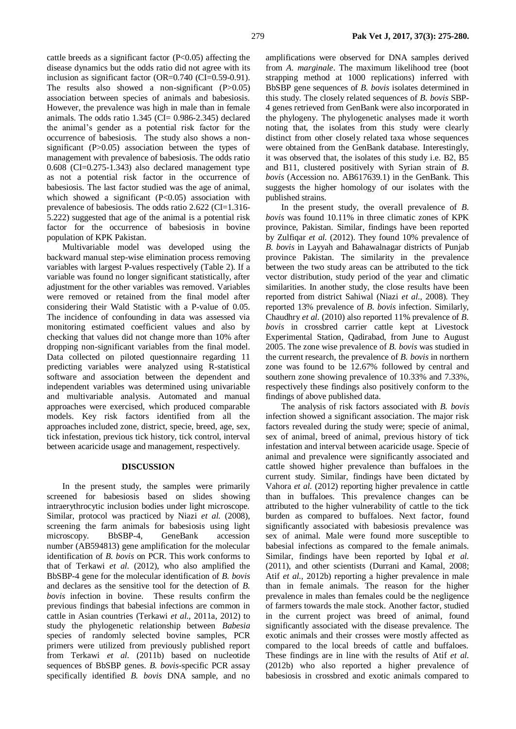cattle breeds as a significant factor  $(P<0.05)$  affecting the disease dynamics but the odds ratio did not agree with its inclusion as significant factor (OR=0.740 (CI=0.59-0.91). The results also showed a non-significant (P>0.05) association between species of animals and babesiosis. However, the prevalence was high in male than in female animals. The odds ratio 1.345 (CI= 0.986-2.345) declared the animal's gender as a potential risk factor for the occurrence of babesiosis. The study also shows a nonsignificant (P>0.05) association between the types of management with prevalence of babesiosis. The odds ratio  $0.608$  (CI= $0.275-1.343$ ) also declared management type as not a potential risk factor in the occurrence of babesiosis. The last factor studied was the age of animal, which showed a significant  $(P<0.05)$  association with prevalence of babesiosis. The odds ratio 2.622 (CI=1.316- 5.222) suggested that age of the animal is a potential risk factor for the occurrence of babesiosis in bovine population of KPK Pakistan.

Multivariable model was developed using the backward manual step-wise elimination process removing variables with largest P-values respectively (Table 2). If a variable was found no longer significant statistically, after adjustment for the other variables was removed. Variables were removed or retained from the final model after considering their Wald Statistic with a P*-*value of 0.05. The incidence of confounding in data was assessed via monitoring estimated coefficient values and also by checking that values did not change more than 10% after dropping non-significant variables from the final model. Data collected on piloted questionnaire regarding 11 predicting variables were analyzed using R-statistical software and association between the dependent and independent variables was determined using univariable and multivariable analysis. Automated and manual approaches were exercised, which produced comparable models. Key risk factors identified from all the approaches included zone, district, specie, breed, age, sex, tick infestation, previous tick history, tick control, interval between acaricide usage and management, respectively.

#### **DISCUSSION**

In the present study, the samples were primarily screened for babesiosis based on slides showing intraerythrocytic inclusion bodies under light microscope. Similar, protocol was practiced by Niazi *et al.* (2008), screening the farm animals for babesiosis using light microscopy. BbSBP-4, GeneBank accession number (AB594813) gene amplification for the molecular identification of *B. bovis* on PCR. This work conforms to that of Terkawi *et al.* (2012), who also amplified the BbSBP-4 gene for the molecular identification of *B. bovis* and declares as the sensitive tool for the detection of *B. bovis* infection in bovine. These results confirm the previous findings that babesial infections are common in cattle in Asian countries (Terkawi *et al.,* 2011a, 2012) to study the phylogenetic relationship between *Babesia* species of randomly selected bovine samples, PCR primers were utilized from previously published report from Terkawi *et al.* (2011b) based on nucleotide sequences of BbSBP genes. *B. bovis*-specific PCR assay specifically identified *B. bovis* DNA sample, and no amplifications were observed for DNA samples derived from *A. marginale*. The maximum likelihood tree (boot strapping method at 1000 replications) inferred with BbSBP gene sequences of *B. bovis* isolates determined in this study. The closely related sequences of *B. bovis* SBP-4 genes retrieved from GenBank were also incorporated in the phylogeny. The phylogenetic analyses made it worth noting that, the isolates from this study were clearly distinct from other closely related taxa whose sequences were obtained from the GenBank database. Interestingly, it was observed that, the isolates of this study i.e. B2, B5 and B11, clustered positively with Syrian strain of *B. bovis* (Accession no. AB617639.1) in the GenBank. This suggests the higher homology of our isolates with the published strains.

In the present study, the overall prevalence of *B. bovis* was found 10.11% in three climatic zones of KPK province, Pakistan. Similar, findings have been reported by Zulfiqar *et al.* (2012). They found 10% prevalence of *B. bovis* in Layyah and Bahawalnagar districts of Punjab province Pakistan. The similarity in the prevalence between the two study areas can be attributed to the tick vector distribution, study period of the year and climatic similarities. In another study, the close results have been reported from district Sahiwal (Niazi *et al*., 2008). They reported 13% prevalence of *B. bovis* infection. Similarly, Chaudhry *et al.* (2010) also reported 11% prevalence of *B. bovis* in crossbred carrier cattle kept at Livestock Experimental Station, Qadirabad, from June to August 2005. The zone wise prevalence of *B. bovis* was studied in the current research, the prevalence of *B. bovis* in northern zone was found to be 12.67% followed by central and southern zone showing prevalence of 10.33% and 7.33%, respectively these findings also positively conform to the findings of above published data.

The analysis of risk factors associated with *B. bovis*  infection showed a significant association. The major risk factors revealed during the study were; specie of animal, sex of animal, breed of animal, previous history of tick infestation and interval between acaricide usage. Specie of animal and prevalence were significantly associated and cattle showed higher prevalence than buffaloes in the current study. Similar, findings have been dictated by Vahora *et al.* (2012) reporting higher prevalence in cattle than in buffaloes. This prevalence changes can be attributed to the higher vulnerability of cattle to the tick burden as compared to buffaloes. Next factor, found significantly associated with babesiosis prevalence was sex of animal. Male were found more susceptible to babesial infections as compared to the female animals. Similar, findings have been reported by Iqbal *et al.* (2011), and other scientists (Durrani and Kamal, 2008; Atif *et al.,* 2012b) reporting a higher prevalence in male than in female animals. The reason for the higher prevalence in males than females could be the negligence of farmers towards the male stock. Another factor, studied in the current project was breed of animal, found significantly associated with the disease prevalence. The exotic animals and their crosses were mostly affected as compared to the local breeds of cattle and buffaloes. These findings are in line with the results of Atif *et al.*  (2012b) who also reported a higher prevalence of babesiosis in crossbred and exotic animals compared to